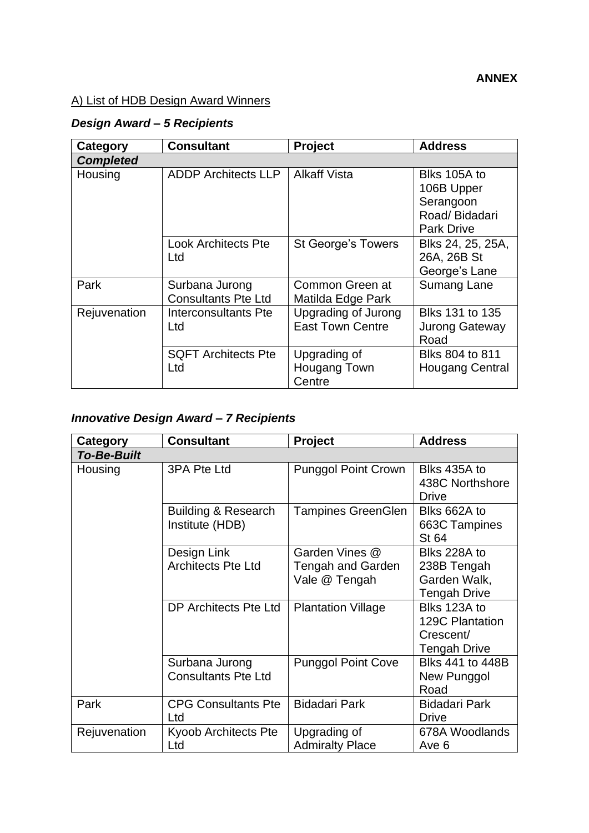#### **ANNEX**

## A) List of HDB Design Award Winners

# *Design Award – 5 Recipients*

| Category         | <b>Consultant</b>                            | Project                                               | <b>Address</b>                                                                |
|------------------|----------------------------------------------|-------------------------------------------------------|-------------------------------------------------------------------------------|
| <b>Completed</b> |                                              |                                                       |                                                                               |
| Housing          | <b>ADDP Architects LLP</b>                   | <b>Alkaff Vista</b>                                   | Blks 105A to<br>106B Upper<br>Serangoon<br>Road/Bidadari<br><b>Park Drive</b> |
|                  | <b>Look Architects Pte</b><br>Ltd            | <b>St George's Towers</b>                             | Blks 24, 25, 25A,<br>26A, 26B St<br>George's Lane                             |
| Park             | Surbana Jurong<br><b>Consultants Pte Ltd</b> | Common Green at<br>Matilda Edge Park                  | <b>Sumang Lane</b>                                                            |
| Rejuvenation     | Interconsultants Pte<br>Ltd                  | <b>Upgrading of Jurong</b><br><b>East Town Centre</b> | Blks 131 to 135<br><b>Jurong Gateway</b><br>Road                              |
|                  | <b>SQFT Architects Pte</b><br>Ltd            | Upgrading of<br>Hougang Town<br>Centre                | Blks 804 to 811<br><b>Hougang Central</b>                                     |

## *Innovative Design Award – 7 Recipients*

| Category           | <b>Consultant</b>                                 | <b>Project</b>                                              | <b>Address</b>                                                      |  |
|--------------------|---------------------------------------------------|-------------------------------------------------------------|---------------------------------------------------------------------|--|
| <b>To-Be-Built</b> |                                                   |                                                             |                                                                     |  |
| Housing            | 3PA Pte Ltd                                       | <b>Punggol Point Crown</b>                                  | Blks 435A to<br>438C Northshore<br><b>Drive</b>                     |  |
|                    | <b>Building &amp; Research</b><br>Institute (HDB) | <b>Tampines GreenGlen</b>                                   | Blks 662A to<br>663C Tampines<br><b>St 64</b>                       |  |
|                    | Design Link<br><b>Architects Pte Ltd</b>          | Garden Vines @<br><b>Tengah and Garden</b><br>Vale @ Tengah | Blks 228A to<br>238B Tengah<br>Garden Walk,<br><b>Tengah Drive</b>  |  |
|                    | DP Architects Pte Ltd                             | <b>Plantation Village</b>                                   | Blks 123A to<br><b>129C Plantation</b><br>Crescent/<br>Tengah Drive |  |
|                    | Surbana Jurong<br><b>Consultants Pte Ltd</b>      | <b>Punggol Point Cove</b>                                   | <b>Blks 441 to 448B</b><br>New Punggol<br>Road                      |  |
| Park               | <b>CPG Consultants Pte</b><br>Ltd                 | <b>Bidadari Park</b>                                        | <b>Bidadari Park</b><br><b>Drive</b>                                |  |
| Rejuvenation       | Kyoob Architects Pte<br>Ltd                       | Upgrading of<br><b>Admiralty Place</b>                      | 678A Woodlands<br>Ave 6                                             |  |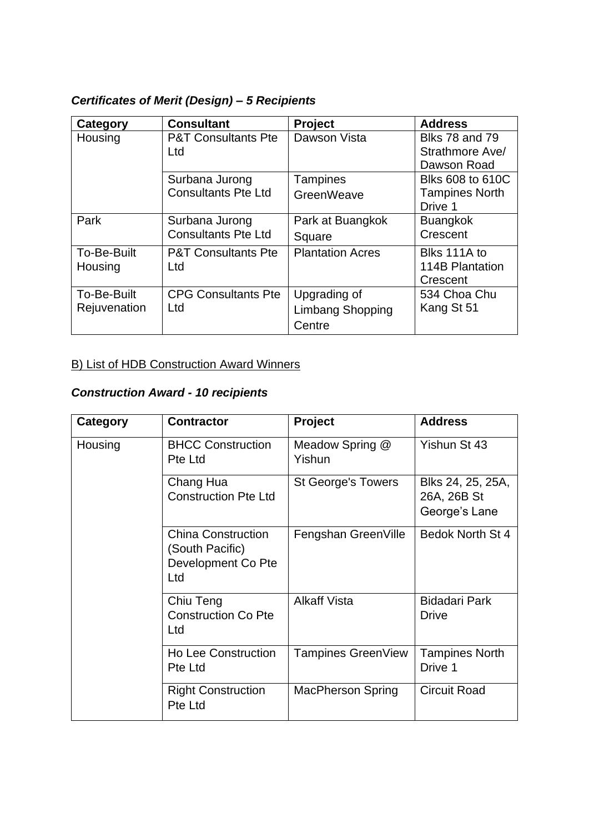## *Certificates of Merit (Design) – 5 Recipients*

| Category     | <b>Consultant</b>                     | <b>Project</b>          | <b>Address</b>                           |
|--------------|---------------------------------------|-------------------------|------------------------------------------|
| Housing      | <b>P&amp;T Consultants Pte</b><br>Ltd | Dawson Vista            | <b>Blks 78 and 79</b><br>Strathmore Ave/ |
|              |                                       |                         | Dawson Road                              |
|              | Surbana Jurong                        | <b>Tampines</b>         | <b>Blks 608 to 610C</b>                  |
|              | <b>Consultants Pte Ltd</b>            | GreenWeave              | <b>Tampines North</b><br>Drive 1         |
| Park         | Surbana Jurong                        | Park at Buangkok        | <b>Buangkok</b>                          |
|              | <b>Consultants Pte Ltd</b>            | Square                  | Crescent                                 |
| To-Be-Built  | <b>P&amp;T Consultants Pte</b>        | <b>Plantation Acres</b> | Blks 111A to                             |
| Housing      | Ltd                                   |                         | 114B Plantation                          |
|              |                                       |                         | Crescent                                 |
| To-Be-Built  | <b>CPG Consultants Pte</b>            | Upgrading of            | 534 Choa Chu                             |
| Rejuvenation | Ltd                                   | Limbang Shopping        | Kang St 51                               |
|              |                                       | Centre                  |                                          |

#### B) List of HDB Construction Award Winners

## *Construction Award - 10 recipients*

| Category | <b>Contractor</b>                                                         | Project                   | <b>Address</b>                                    |
|----------|---------------------------------------------------------------------------|---------------------------|---------------------------------------------------|
| Housing  | <b>BHCC Construction</b><br>Pte Ltd                                       | Meadow Spring @<br>Yishun | Yishun St 43                                      |
|          | Chang Hua<br><b>Construction Pte Ltd</b>                                  | <b>St George's Towers</b> | Blks 24, 25, 25A,<br>26A, 26B St<br>George's Lane |
|          | <b>China Construction</b><br>(South Pacific)<br>Development Co Pte<br>Ltd | Fengshan GreenVille       | Bedok North St 4                                  |
|          | Chiu Teng<br><b>Construction Co Pte</b><br>Ltd                            | <b>Alkaff Vista</b>       | <b>Bidadari Park</b><br><b>Drive</b>              |
|          | <b>Ho Lee Construction</b><br>Pte Ltd                                     | Tampines GreenView        | <b>Tampines North</b><br>Drive 1                  |
|          | <b>Right Construction</b><br>Pte Ltd                                      | <b>MacPherson Spring</b>  | <b>Circuit Road</b>                               |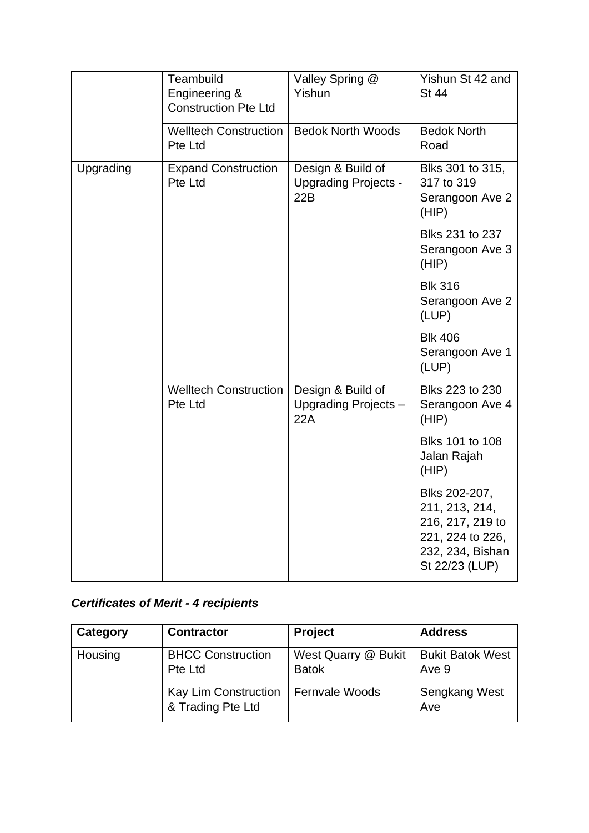|           | Teambuild<br>Engineering &<br><b>Construction Pte Ltd</b> | Valley Spring @<br>Yishun                               | Yishun St 42 and<br><b>St 44</b>                                                                              |
|-----------|-----------------------------------------------------------|---------------------------------------------------------|---------------------------------------------------------------------------------------------------------------|
|           | <b>Welltech Construction</b><br>Pte Ltd                   | <b>Bedok North Woods</b>                                | <b>Bedok North</b><br>Road                                                                                    |
| Upgrading | <b>Expand Construction</b><br>Pte Ltd                     | Design & Build of<br><b>Upgrading Projects -</b><br>22B | Blks 301 to 315,<br>317 to 319<br>Serangoon Ave 2<br>(HIP)                                                    |
|           |                                                           |                                                         | Blks 231 to 237<br>Serangoon Ave 3<br>(HIP)                                                                   |
|           |                                                           |                                                         | <b>Blk 316</b><br>Serangoon Ave 2<br>(LUP)                                                                    |
|           |                                                           |                                                         | <b>Blk 406</b><br>Serangoon Ave 1<br>(LUP)                                                                    |
|           | <b>Welltech Construction</b><br>Pte Ltd                   | Design & Build of<br>Upgrading Projects-<br>22A         | Blks 223 to 230<br>Serangoon Ave 4<br>(HIP)                                                                   |
|           |                                                           |                                                         | Blks 101 to 108<br>Jalan Rajah<br>(HIP)                                                                       |
|           |                                                           |                                                         | Blks 202-207,<br>211, 213, 214,<br>216, 217, 219 to<br>221, 224 to 226,<br>232, 234, Bishan<br>St 22/23 (LUP) |

## *Certificates of Merit - 4 recipients*

| Category | <b>Contractor</b>                         | <b>Project</b>                      | <b>Address</b>                   |
|----------|-------------------------------------------|-------------------------------------|----------------------------------|
| Housing  | <b>BHCC Construction</b><br>Pte Ltd       | West Quarry @ Bukit<br><b>Batok</b> | <b>Bukit Batok West</b><br>Ave 9 |
|          | Kay Lim Construction<br>& Trading Pte Ltd | Fernvale Woods                      | <b>Sengkang West</b><br>Ave      |